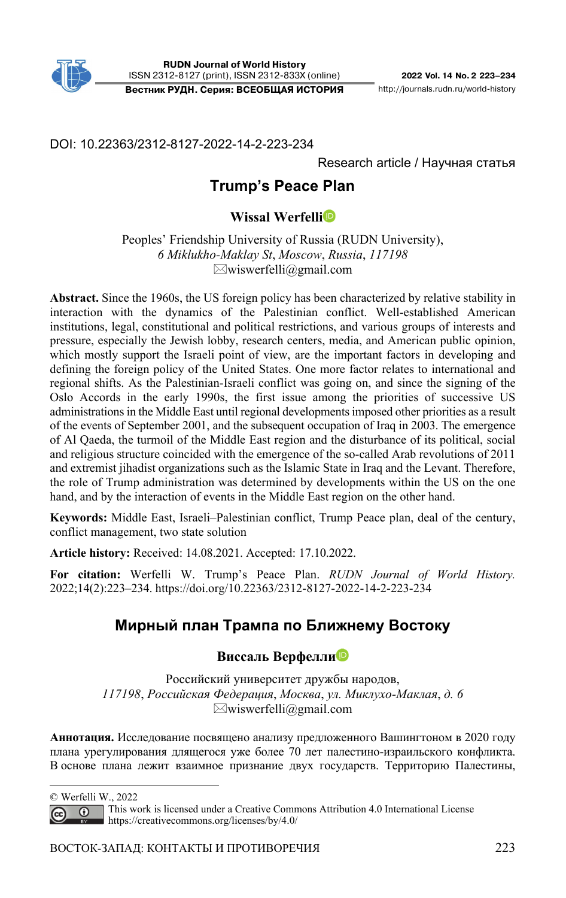

**Вестник РУДН. Серия: ВСЕОБЩАЯ ИСТОРИЯ** http://journals.rudn.ru/world-history

DOI: 10.22363/2312-8127-2022-14-2-223-234

Research article / Научная статья

# **Trump's Peace Plan1**

# **Wissal Werfelli**

Peoples' Friendship University of Russia (RUDN University), *6 Miklukho-Maklay St*, *Moscow*, *Russia*, *117198*  $\boxtimes$ wiswerfelli@gmail.com

**Abstract.** Since the 1960s, the US foreign policy has been characterized by relative stability in interaction with the dynamics of the Palestinian conflict. Well-established American institutions, legal, constitutional and political restrictions, and various groups of interests and pressure, especially the Jewish lobby, research centers, media, and American public opinion, which mostly support the Israeli point of view, are the important factors in developing and defining the foreign policy of the United States. One more factor relates to international and regional shifts. As the Palestinian-Israeli conflict was going on, and since the signing of the Oslo Accords in the early 1990s, the first issue among the priorities of successive US administrations in the Middle East until regional developments imposed other priorities as a result of the events of September 2001, and the subsequent occupation of Iraq in 2003. The emergence of Al Qaeda, the turmoil of the Middle East region and the disturbance of its political, social and religious structure coincided with the emergence of the so-called Arab revolutions of 2011 and extremist jihadist organizations such as the Islamic State in Iraq and the Levant. Therefore, the role of Trump administration was determined by developments within the US on the one hand, and by the interaction of events in the Middle East region on the other hand.

**Keywords:** Middle East, Israeli–Palestinian conflict, Trump Peace plan, deal of the century, conflict management, two state solution

**Article history:** Received: 14.08.2021. Accepted: 17.10.2022.

**For citation:** Werfelli W. Trump's Peace Plan. *RUDN Journal of World History.* 2022;14(2):223–234. https://doi.org/10.22363/2312-8127-2022-14-2-223-234

# **Мирный план Трампа по Ближнему Востоку**

## **Виссаль Верфелл[и](https://orcid.org/ 0000-0003-4803-1386)**

Российский университет дружбы народов, *117198*, *Российская Федерация*, *Москва*, *ул. Миклухо-Маклая*, *д. 6*   $\boxtimes$ wiswerfelli $@g$ mail.com

**Аннотация.** Исследование посвящено анализу предложенного Вашингтоном в 2020 году плана урегулирования длящегося уже более 70 лет палестино-израильского конфликта. В основе плана лежит взаимное признание двух государств. Территорию Палестины,

© Werfelli W., 2022

This work is licensed under a Creative Commons Attribution 4.0 International License  $\odot$ https://creativecommons.org/licenses/by/4.0/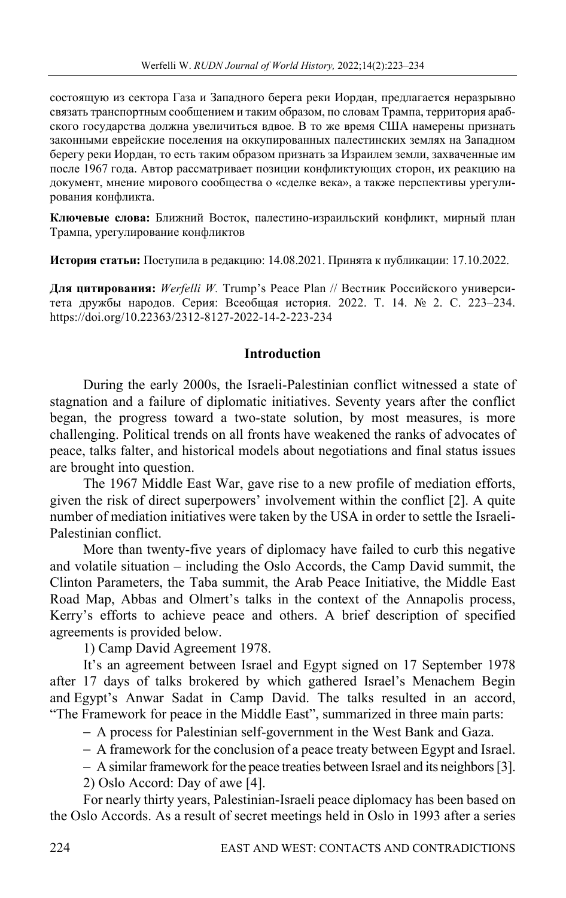состоящую из сектора Газа и Западного берега реки Иордан, предлагается неразрывно связать транспортным сообщением и таким образом, по словам Трампа, территория арабского государства должна увеличиться вдвое. В то же время США намерены признать законными еврейские поселения на оккупированных палестинских землях на Западном берегу реки Иордан, то есть таким образом признать за Израилем земли, захваченные им после 1967 года. Автор рассматривает позиции конфликтующих сторон, их реакцию на документ, мнение мирового сообщества о «сделке века», а также перспективы урегулирования конфликта.

**Ключевые слова:** Ближний Восток, палестино-израильский конфликт, мирный план Трампа, урегулирование конфликтов

**История статьи:** Поступила в редакцию: 14.08.2021. Принята к публикации: 17.10.2022.

**Для цитирования:** *Werfelli W.* Trump's Peace Plan // Вестник Российского университета дружбы народов. Серия: Всеобщая история. 2022. Т. 14. № 2. С. 223–234. https://doi.org/10.22363/2312-8127-2022-14-2-223-234

### **Introduction**

During the early 2000s, the Israeli-Palestinian conflict witnessed a state of stagnation and a failure of diplomatic initiatives. Seventy years after the conflict began, the progress toward a two-state solution, by most measures, is more challenging. Political trends on all fronts have weakened the ranks of advocates of peace, talks falter, and historical models about negotiations and final status issues are brought into question.

The 1967 Middle East War, gave rise to a new profile of mediation efforts, given the risk of direct superpowers' involvement within the conflict [2]. A quite number of mediation initiatives were taken by the USA in order to settle the Israeli-Palestinian conflict.

More than twenty-five years of diplomacy have failed to curb this negative and volatile situation – including the Oslo Accords, the Camp David summit, the Clinton Parameters, the Taba summit, the Arab Peace Initiative, the Middle East Road Map, Abbas and Olmert's talks in the context of the Annapolis process, Kerry's efforts to achieve peace and others. A brief description of specified agreements is provided below.

1) Camp David Agreement 1978.

It's an agreement between Israel and Egypt signed on 17 September 1978 after 17 days of talks brokered by which gathered Israel's Menachem Begin and Egypt's Anwar Sadat in Camp David. The talks resulted in an accord, "The Framework for peace in the Middle East", summarized in three main parts:

− A process for Palestinian self-government in the West Bank and Gaza.

− A framework for the conclusion of a peace treaty between Egypt and Israel.

− A similar framework for the peace treaties between Israel and its neighbors [3].

2) Oslo Accord: Day of awe [4].

For nearly thirty years, Palestinian-Israeli peace diplomacy has been based on the Oslo Accords. As a result of secret meetings held in Oslo in 1993 after a series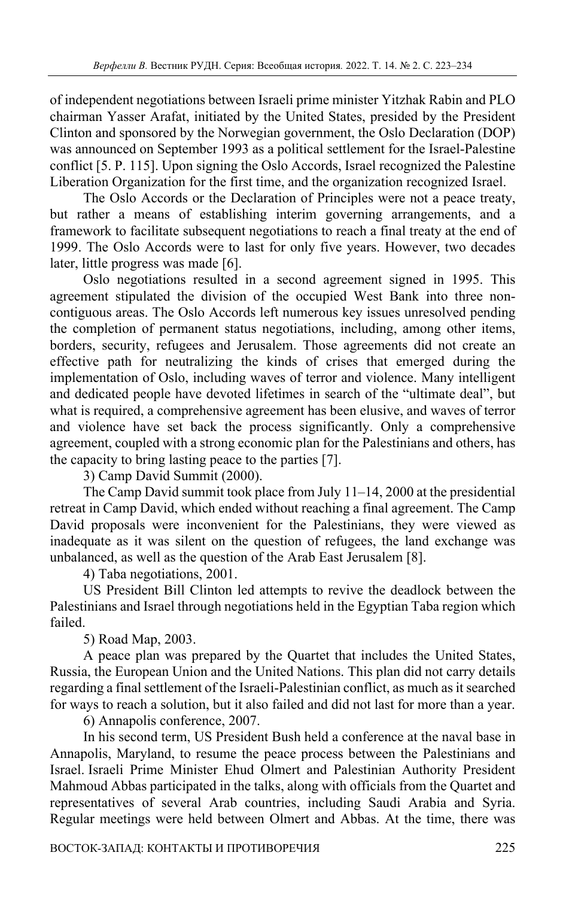of independent negotiations between Israeli prime minister Yitzhak Rabin and PLO chairman Yasser Arafat, initiated by the United States, presided by the President Clinton and sponsored by the Norwegian government, the Oslo Declaration (DOP) was announced on September 1993 as a political settlement for the Israel-Palestine conflict [5. P. 115]. Upon signing the Oslo Accords, Israel recognized the Palestine Liberation Organization for the first time, and the organization recognized Israel.

The Oslo Accords or the Declaration of Principles were not a peace treaty, but rather a means of establishing interim governing arrangements, and a framework to facilitate subsequent negotiations to reach a final treaty at the end of 1999. The Oslo Accords were to last for only five years. However, two decades later, little progress was made [6].

Oslo negotiations resulted in a second agreement signed in 1995. This agreement stipulated the division of the occupied West Bank into three noncontiguous areas. The Oslo Accords left numerous key issues unresolved pending the completion of permanent status negotiations, including, among other items, borders, security, refugees and Jerusalem. Those agreements did not create an effective path for neutralizing the kinds of crises that emerged during the implementation of Oslo, including waves of terror and violence. Many intelligent and dedicated people have devoted lifetimes in search of the "ultimate deal", but what is required, a comprehensive agreement has been elusive, and waves of terror and violence have set back the process significantly. Only a comprehensive agreement, coupled with a strong economic plan for the Palestinians and others, has the capacity to bring lasting peace to the parties [7].

3) Camp David Summit (2000).

The Camp David summit took place from July 11–14, 2000 at the presidential retreat in Camp David, which ended without reaching a final agreement. The Camp David proposals were inconvenient for the Palestinians, they were viewed as inadequate as it was silent on the question of refugees, the land exchange was unbalanced, as well as the question of the Arab East Jerusalem [8].

4) Taba negotiations, 2001.

US President Bill Clinton led attempts to revive the deadlock between the Palestinians and Israel through negotiations held in the Egyptian Taba region which failed.

5) Road Map, 2003.

A peace plan was prepared by the Quartet that includes the United States, Russia, the European Union and the United Nations. This plan did not carry details regarding a final settlement of the Israeli-Palestinian conflict, as much as it searched for ways to reach a solution, but it also failed and did not last for more than a year.

6) Annapolis conference, 2007.

In his second term, US President Bush held a conference at the naval base in Annapolis, Maryland, to resume the peace process between the Palestinians and Israel. Israeli Prime Minister Ehud Olmert and Palestinian Authority President Mahmoud Abbas participated in the talks, along with officials from the Quartet and representatives of several Arab countries, including Saudi Arabia and Syria. Regular meetings were held between Olmert and Abbas. At the time, there was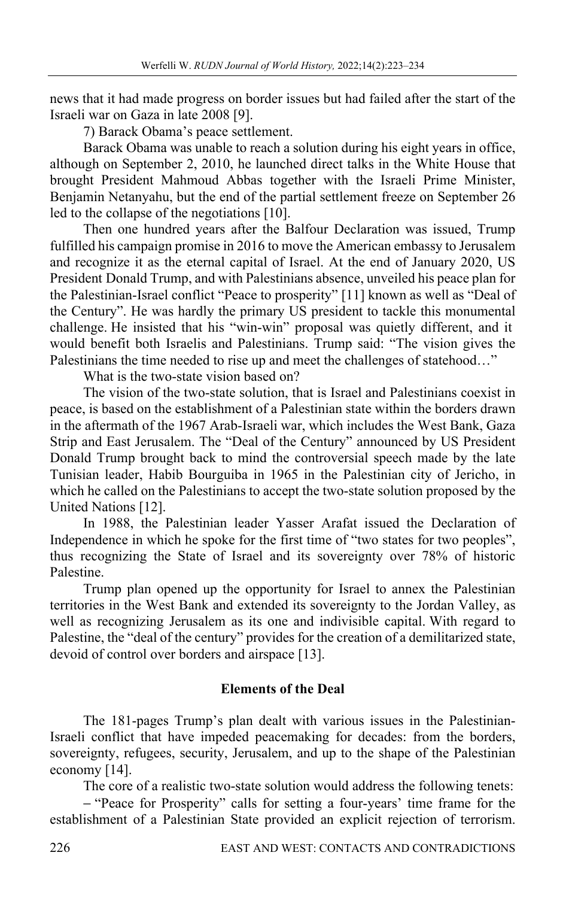news that it had made progress on border issues but had failed after the start of the Israeli war on Gaza in late 2008 [9].

7) Barack Obama's peace settlement.

Barack Obama was unable to reach a solution during his eight years in office, although on September 2, 2010, he launched direct talks in the White House that brought President Mahmoud Abbas together with the Israeli Prime Minister, Benjamin Netanyahu, but the end of the partial settlement freeze on September 26 led to the collapse of the negotiations [10].

Then one hundred years after the Balfour Declaration was issued, Trump fulfilled his campaign promise in 2016 to move the American embassy to Jerusalem and recognize it as the eternal capital of Israel. At the end of January 2020, US President Donald Trump, and with Palestinians absence, unveiled his peace plan for the Palestinian-Israel conflict "Peace to prosperity" [11] known as well as "Deal of the Century". He was hardly the primary US president to tackle this monumental challenge. He insisted that his "win-win" proposal was quietly different, and it would benefit both Israelis and Palestinians. Trump said: "The vision gives the Palestinians the time needed to rise up and meet the challenges of statehood…"

What is the two-state vision based on?

The vision of the two-state solution, that is Israel and Palestinians coexist in peace, is based on the establishment of a Palestinian state within the borders drawn in the aftermath of the 1967 Arab-Israeli war, which includes the West Bank, Gaza Strip and East Jerusalem. The "Deal of the Century" announced by US President Donald Trump brought back to mind the controversial speech made by the late Tunisian leader, Habib Bourguiba in 1965 in the Palestinian city of Jericho, in which he called on the Palestinians to accept the two-state solution proposed by the United Nations [12].

In 1988, the Palestinian leader Yasser Arafat issued the Declaration of Independence in which he spoke for the first time of "two states for two peoples", thus recognizing the State of Israel and its sovereignty over 78% of historic Palestine.

Trump plan opened up the opportunity for Israel to annex the Palestinian territories in the West Bank and extended its sovereignty to the Jordan Valley, as well as recognizing Jerusalem as its one and indivisible capital. With regard to Palestine, the "deal of the century" provides for the creation of a demilitarized state, devoid of control over borders and airspace [13].

## **Elements of the Deal**

The 181-pages Trump's plan dealt with various issues in the Palestinian-Israeli conflict that have impeded peacemaking for decades: from the borders, sovereignty, refugees, security, Jerusalem, and up to the shape of the Palestinian economy [14].

The core of a realistic two-state solution would address the following tenets:

− "Peace for Prosperity" calls for setting a four-years' time frame for the establishment of a Palestinian State provided an explicit rejection of terrorism.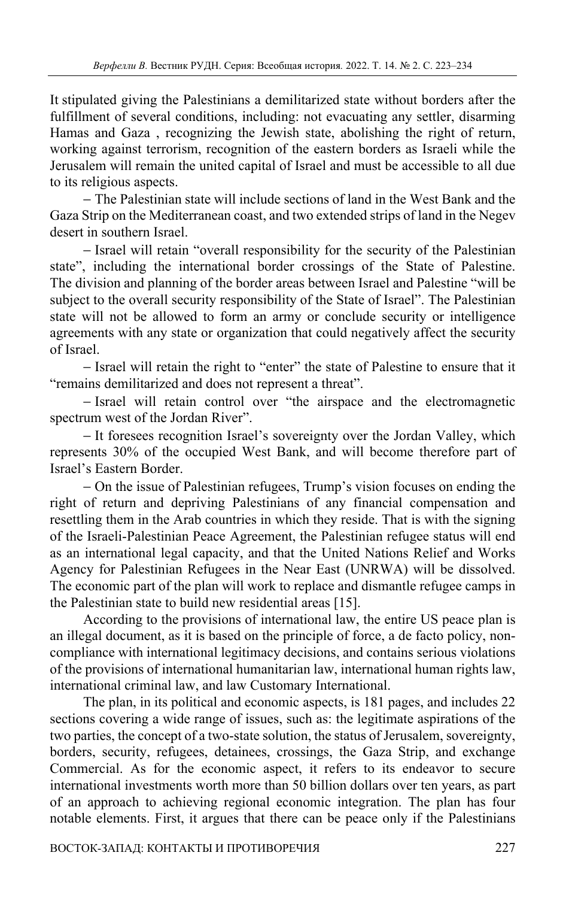It stipulated giving the Palestinians a demilitarized state without borders after the fulfillment of several conditions, including: not evacuating any settler, disarming Hamas and Gaza , recognizing the Jewish state, abolishing the right of return, working against terrorism, recognition of the eastern borders as Israeli while the Jerusalem will remain the united capital of Israel and must be accessible to all due to its religious aspects.

− The Palestinian state will include sections of land in the West Bank and the Gaza Strip on the Mediterranean coast, and two extended strips of land in the Negev desert in southern Israel.

− Israel will retain "overall responsibility for the security of the Palestinian state", including the international border crossings of the State of Palestine. The division and planning of the border areas between Israel and Palestine "will be subject to the overall security responsibility of the State of Israel". The Palestinian state will not be allowed to form an army or conclude security or intelligence agreements with any state or organization that could negatively affect the security of Israel.

− Israel will retain the right to "enter" the state of Palestine to ensure that it "remains demilitarized and does not represent a threat".

− Israel will retain control over "the airspace and the electromagnetic spectrum west of the Jordan River".

− It foresees recognition Israel's sovereignty over the Jordan Valley, which represents 30% of the occupied West Bank, and will become therefore part of Israel's Eastern Border.

− On the issue of Palestinian refugees, Trump's vision focuses on ending the right of return and depriving Palestinians of any financial compensation and resettling them in the Arab countries in which they reside. That is with the signing of the Israeli-Palestinian Peace Agreement, the Palestinian refugee status will end as an international legal capacity, and that the United Nations Relief and Works Agency for Palestinian Refugees in the Near East (UNRWA) will be dissolved. The economic part of the plan will work to replace and dismantle refugee camps in the Palestinian state to build new residential areas [15].

According to the provisions of international law, the entire US peace plan is an illegal document, as it is based on the principle of force, a de facto policy, noncompliance with international legitimacy decisions, and contains serious violations of the provisions of international humanitarian law, international human rights law, international criminal law, and law Customary International.

The plan, in its political and economic aspects, is 181 pages, and includes 22 sections covering a wide range of issues, such as: the legitimate aspirations of the two parties, the concept of a two-state solution, the status of Jerusalem, sovereignty, borders, security, refugees, detainees, crossings, the Gaza Strip, and exchange Commercial. As for the economic aspect, it refers to its endeavor to secure international investments worth more than 50 billion dollars over ten years, as part of an approach to achieving regional economic integration. The plan has four notable elements. First, it argues that there can be peace only if the Palestinians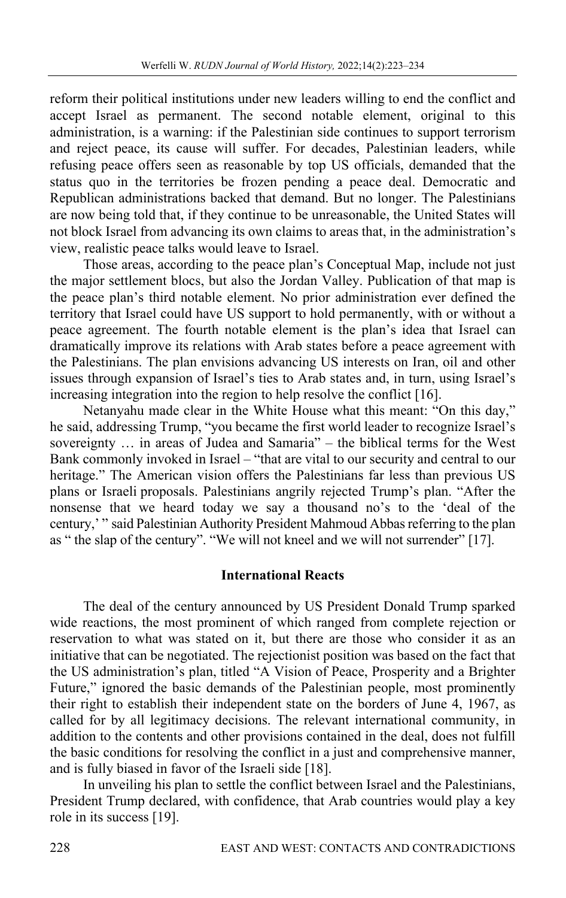reform their political institutions under new leaders willing to end the conflict and accept Israel as permanent. The second notable element, original to this administration, is a warning: if the Palestinian side continues to support terrorism and reject peace, its cause will suffer. For decades, Palestinian leaders, while refusing peace offers seen as reasonable by top US officials, demanded that the status quo in the territories be frozen pending a peace deal. Democratic and Republican administrations backed that demand. But no longer. The Palestinians are now being told that, if they continue to be unreasonable, the United States will not block Israel from advancing its own claims to areas that, in the administration's view, realistic peace talks would leave to Israel.

Those areas, according to the peace plan's Conceptual Map, include not just the major settlement blocs, but also the Jordan Valley. Publication of that map is the peace plan's third notable element. No prior administration ever defined the territory that Israel could have US support to hold permanently, with or without a peace agreement. The fourth notable element is the plan's idea that Israel can dramatically improve its relations with Arab states before a peace agreement with the Palestinians. The plan envisions advancing US interests on Iran, oil and other issues through expansion of Israel's ties to Arab states and, in turn, using Israel's increasing integration into the region to help resolve the conflict [16].

Netanyahu made clear in the White House what this meant: "On this day," he said, addressing Trump, "you became the first world leader to recognize Israel's sovereignty … in areas of Judea and Samaria" – the biblical terms for the West Bank commonly invoked in Israel – "that are vital to our security and central to our heritage." The American vision offers the Palestinians far less than previous US plans or Israeli proposals. Palestinians angrily rejected Trump's plan. "After the nonsense that we heard today we say a thousand no's to the 'deal of the century,' " said Palestinian Authority President Mahmoud Abbas referring to the plan as " the slap of the century". "We will not kneel and we will not surrender" [17].

### **International Reacts**

The deal of the century announced by US President Donald Trump sparked wide reactions, the most prominent of which ranged from complete rejection or reservation to what was stated on it, but there are those who consider it as an initiative that can be negotiated. The rejectionist position was based on the fact that the US administration's plan, titled "A Vision of Peace, Prosperity and a Brighter Future," ignored the basic demands of the Palestinian people, most prominently their right to establish their independent state on the borders of June 4, 1967, as called for by all legitimacy decisions. The relevant international community, in addition to the contents and other provisions contained in the deal, does not fulfill the basic conditions for resolving the conflict in a just and comprehensive manner, and is fully biased in favor of the Israeli side [18].

In unveiling his plan to settle the conflict between Israel and the Palestinians, President Trump declared, with confidence, that Arab countries would play a key role in its success [19].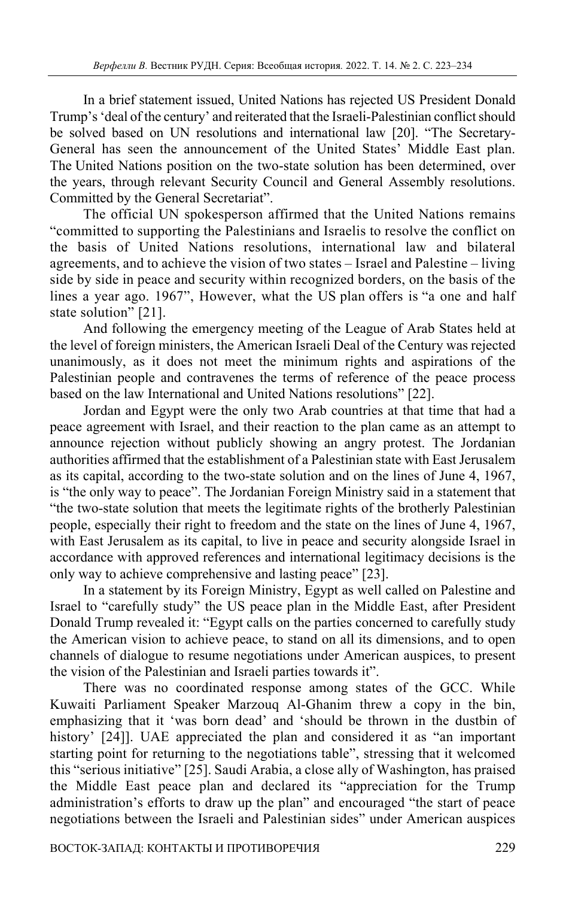In a brief statement issued, United Nations has rejected US President Donald Trump's 'deal of the century' and reiterated that the Israeli-Palestinian conflict should be solved based on UN resolutions and international law [20]. "The Secretary-General has seen the announcement of the United States' Middle East plan. The United Nations position on the two-state solution has been determined, over the years, through relevant Security Council and General Assembly resolutions. Committed by the General Secretariat".

The official UN spokesperson affirmed that the United Nations remains "committed to supporting the Palestinians and Israelis to resolve the conflict on the basis of United Nations resolutions, international law and bilateral agreements, and to achieve the vision of two states – Israel and Palestine – living side by side in peace and security within recognized borders, on the basis of the lines a year ago. 1967", However, what the US plan offers is "a one and half state solution" [21].

And following the emergency meeting of the League of Arab States held at the level of foreign ministers, the American Israeli Deal of the Century was rejected unanimously, as it does not meet the minimum rights and aspirations of the Palestinian people and contravenes the terms of reference of the peace process based on the law International and United Nations resolutions" [22].

Jordan and Egypt were the only two Arab countries at that time that had a peace agreement with Israel, and their reaction to the plan came as an attempt to announce rejection without publicly showing an angry protest. The Jordanian authorities affirmed that the establishment of a Palestinian state with East Jerusalem as its capital, according to the two-state solution and on the lines of June 4, 1967, is "the only way to peace". The Jordanian Foreign Ministry said in a statement that "the two-state solution that meets the legitimate rights of the brotherly Palestinian people, especially their right to freedom and the state on the lines of June 4, 1967, with East Jerusalem as its capital, to live in peace and security alongside Israel in accordance with approved references and international legitimacy decisions is the only way to achieve comprehensive and lasting peace" [23].

In a statement by its Foreign Ministry, Egypt as well called on Palestine and Israel to "carefully study" the US peace plan in the Middle East, after President Donald Trump revealed it: "Egypt calls on the parties concerned to carefully study the American vision to achieve peace, to stand on all its dimensions, and to open channels of dialogue to resume negotiations under American auspices, to present the vision of the Palestinian and Israeli parties towards it".

There was no coordinated response among states of the GCC. While Kuwaiti Parliament Speaker Marzouq Al-Ghanim threw a copy in the bin, emphasizing that it 'was born dead' and 'should be thrown in the dustbin of history' [24]]. UAE appreciated the plan and considered it as "an important starting point for returning to the negotiations table", stressing that it welcomed this "serious initiative" [25]. Saudi Arabia, a close ally of Washington, has praised the Middle East peace plan and declared its "appreciation for the Trump administration's efforts to draw up the plan" and encouraged "the start of peace negotiations between the Israeli and Palestinian sides" under American auspices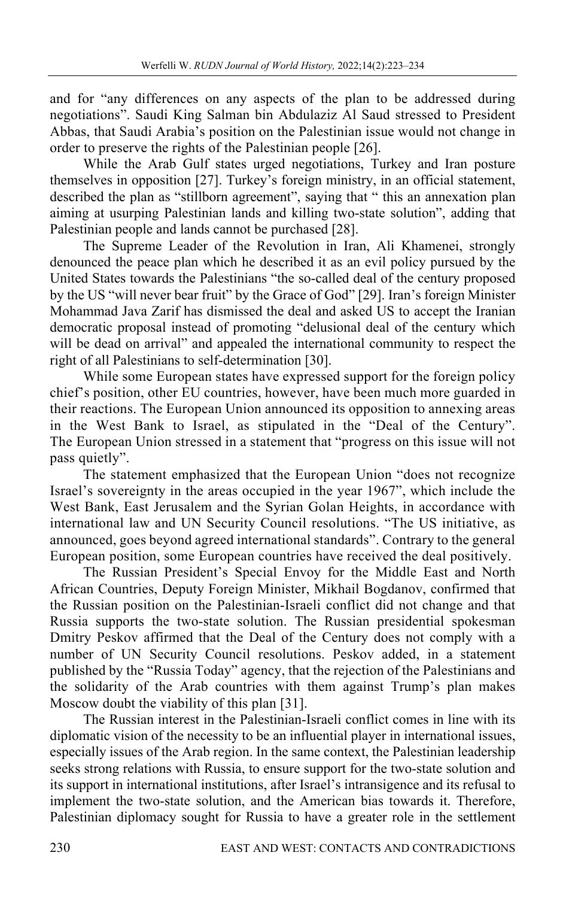and for "any differences on any aspects of the plan to be addressed during negotiations". Saudi King Salman bin Abdulaziz Al Saud stressed to President Abbas, that Saudi Arabia's position on the Palestinian issue would not change in order to preserve the rights of the Palestinian people [26].

While the Arab Gulf states urged negotiations, Turkey and Iran posture themselves in opposition [27]. Turkey's foreign ministry, in an official statement, described the plan as "stillborn agreement", saying that " this an annexation plan aiming at usurping Palestinian lands and killing two-state solution", adding that Palestinian people and lands cannot be purchased [28].

The Supreme Leader of the Revolution in Iran, Ali Khamenei, strongly denounced the peace plan which he described it as an evil policy pursued by the United States towards the Palestinians "the so-called deal of the century proposed by the US "will never bear fruit" by the Grace of God" [29]. Iran's foreign Minister Mohammad Java Zarif has dismissed the deal and asked US to accept the Iranian democratic proposal instead of promoting "delusional deal of the century which will be dead on arrival" and appealed the international community to respect the right of all Palestinians to self-determination [30].

While some European states have expressed support for the foreign policy chief's position, other EU countries, however, have been much more guarded in their reactions. The European Union announced its opposition to annexing areas in the West Bank to Israel, as stipulated in the "Deal of the Century". The European Union stressed in a statement that "progress on this issue will not pass quietly".

The statement emphasized that the European Union "does not recognize Israel's sovereignty in the areas occupied in the year 1967", which include the West Bank, East Jerusalem and the Syrian Golan Heights, in accordance with international law and UN Security Council resolutions. "The US initiative, as announced, goes beyond agreed international standards". Contrary to the general European position, some European countries have received the deal positively.

The Russian President's Special Envoy for the Middle East and North African Countries, Deputy Foreign Minister, Mikhail Bogdanov, confirmed that the Russian position on the Palestinian-Israeli conflict did not change and that Russia supports the two-state solution. The Russian presidential spokesman Dmitry Peskov affirmed that the Deal of the Century does not comply with a number of UN Security Council resolutions. Peskov added, in a statement published by the "Russia Today" agency, that the rejection of the Palestinians and the solidarity of the Arab countries with them against Trump's plan makes Moscow doubt the viability of this plan [31].

The Russian interest in the Palestinian-Israeli conflict comes in line with its diplomatic vision of the necessity to be an influential player in international issues, especially issues of the Arab region. In the same context, the Palestinian leadership seeks strong relations with Russia, to ensure support for the two-state solution and its support in international institutions, after Israel's intransigence and its refusal to implement the two-state solution, and the American bias towards it. Therefore, Palestinian diplomacy sought for Russia to have a greater role in the settlement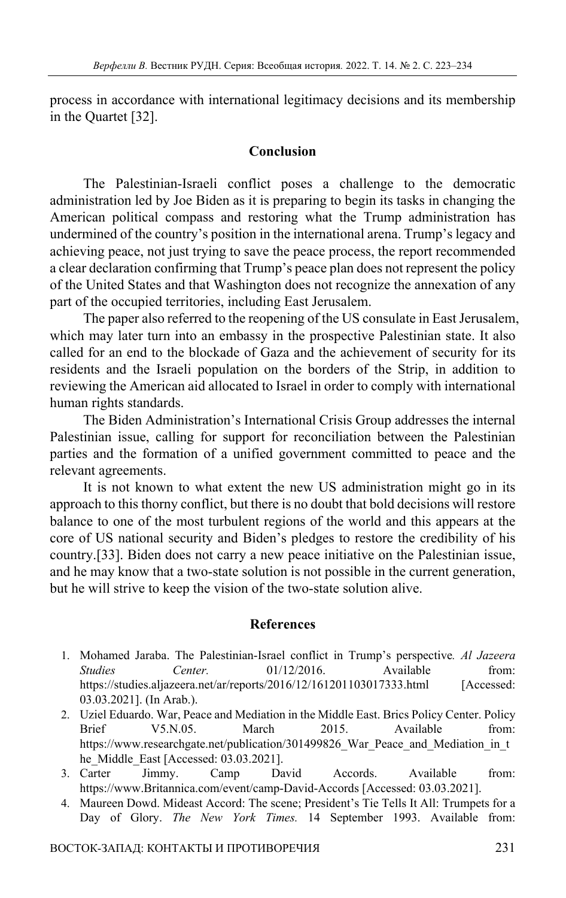process in accordance with international legitimacy decisions and its membership in the Quartet [32].

### **Conclusion**

The Palestinian-Israeli conflict poses a challenge to the democratic administration led by Joe Biden as it is preparing to begin its tasks in changing the American political compass and restoring what the Trump administration has undermined of the country's position in the international arena. Trump's legacy and achieving peace, not just trying to save the peace process, the report recommended a clear declaration confirming that Trump's peace plan does not represent the policy of the United States and that Washington does not recognize the annexation of any part of the occupied territories, including East Jerusalem.

The paper also referred to the reopening of the US consulate in East Jerusalem, which may later turn into an embassy in the prospective Palestinian state. It also called for an end to the blockade of Gaza and the achievement of security for its residents and the Israeli population on the borders of the Strip, in addition to reviewing the American aid allocated to Israel in order to comply with international human rights standards.

The Biden Administration's International Crisis Group addresses the internal Palestinian issue, calling for support for reconciliation between the Palestinian parties and the formation of a unified government committed to peace and the relevant agreements.

It is not known to what extent the new US administration might go in its approach to this thorny conflict, but there is no doubt that bold decisions will restore balance to one of the most turbulent regions of the world and this appears at the core of US national security and Biden's pledges to restore the credibility of his country.[33]. Biden does not carry a new peace initiative on the Palestinian issue, and he may know that a two-state solution is not possible in the current generation, but he will strive to keep the vision of the two-state solution alive.

#### **References**

- 1. Mohamed Jaraba. The Palestinian-Israel conflict in Trump's perspective*. Al Jazeera Studies Center.* 01/12/2016. Available from: https://studies.aljazeera.net/ar/reports/2016/12/161201103017333.html [Accessed: 03.03.2021]. (In Arab.).
- 2. Uziel Eduardo. War, Peace and Mediation in the Middle East. Brics Policy Center. Policy Brief V5.N.05. March 2015. Available from: https://www.researchgate.net/publication/301499826 War Peace and Mediation in t he\_Middle\_East [Accessed: 03.03.2021].
- 3. Carter Jimmy. Camp David Accords. Available from: https://www.Britannica.com/event/camp-David-Accords [Accessed: 03.03.2021].
- 4. Maureen Dowd. Mideast Accord: The scene; President's Tie Tells It All: Trumpets for a Day of Glory. *The New York Times.* 14 September 1993. Available from: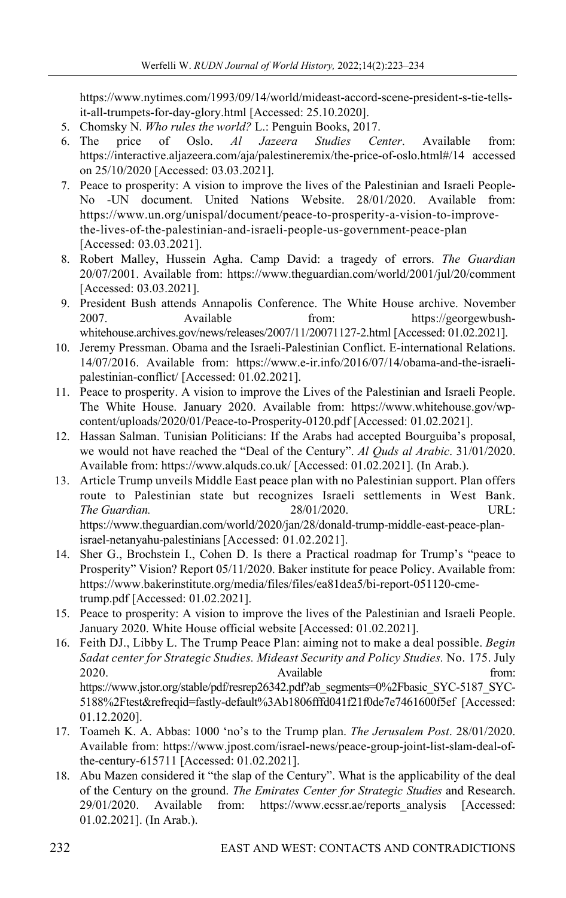https://www.nytimes.com/1993/09/14/world/mideast-accord-scene-president-s-tie-tellsit-all-trumpets-for-day-glory.html [Accessed: 25.10.2020].

- 5. Chomsky N. *Who rules the world?* L.: Penguin Books, 2017.
- 6. The price of Oslo. *Al Jazeera Studies Center*. Available from: https://interactive.aljazeera.com/aja/palestineremix/the-price-of-oslo.html#/14 accessed on 25/10/2020 [Accessed: 03.03.2021].
- 7. Peace to prosperity: A vision to improve the lives of the Palestinian and Israeli People-No -UN document. United Nations Website. 28/01/2020. Available from: https://www.un.org/unispal/document/peace-to-prosperity-a-vision-to-improvethe-lives-of-the-palestinian-and-israeli-people-us-government-peace-plan [Accessed: 03.03.2021].
- 8. Robert Malley, Hussein Agha. Camp David: a tragedy of errors. *The Guardian* 20/07/2001. Available from: https://www.theguardian.com/world/2001/jul/20/comment [Accessed: 03.03.2021].
- 9. President Bush attends Annapolis Conference. The White House archive. November 2007. Available from: https://georgewbushwhitehouse.archives.gov/news/releases/2007/11/20071127-2.html [Accessed: 01.02.2021].
- 10. Jeremy Pressman. Obama and the Israeli-Palestinian Conflict. E-international Relations. 14/07/2016. Available from: https://www.e-ir.info/2016/07/14/obama-and-the-israelipalestinian-conflict/ [Accessed: 01.02.2021].
- 11. Peace to prosperity. A vision to improve the Lives of the Palestinian and Israeli People. The White House. January 2020. Available from: https://www.whitehouse.gov/wpcontent/uploads/2020/01/Peace-to-Prosperity-0120.pdf [Accessed: 01.02.2021].
- 12. Hassan Salman. Tunisian Politicians: If the Arabs had accepted Bourguiba's proposal, we would not have reached the "Deal of the Century". *Al Quds al Arabic*. 31/01/2020. Available from: https://www.alquds.co.uk/ [Accessed: 01.02.2021]. (In Arab.).
- 13. Article Trump unveils Middle East peace plan with no Palestinian support. Plan offers route to Palestinian state but recognizes Israeli settlements in West Bank. *The Guardian.* 28/01/2020. URL: https://www.theguardian.com/world/2020/jan/28/donald-trump-middle-east-peace-planisrael-netanyahu-palestinians [Accessed: 01.02.2021].
- 14. Sher G., Brochstein I., Cohen D. Is there a Practical roadmap for Trump's "peace to Prosperity" Vision? Report 05/11/2020. Baker institute for peace Policy. Available from: https://www.bakerinstitute.org/media/files/files/ea81dea5/bi-report-051120-cmetrump.pdf [Accessed: 01.02.2021].
- 15. Peace to prosperity: A vision to improve the lives of the Palestinian and Israeli People. January 2020. White House official website [Accessed: 01.02.2021].
- 16. Feith DJ., Libby L. The Trump Peace Plan: aiming not to make a deal possible. *Begin Sadat center for Strategic Studies. Mideast Security and Policy Studies.* No. 175. July 2020. Available **Available** from: https://www.jstor.org/stable/pdf/resrep26342.pdf?ab\_segments=0%2Fbasic\_SYC-5187\_SYC-5188%2Ftest&refreqid=fastly-default%3Ab1806fffd041f21f0de7e7461600f5ef [Accessed: 01.12.2020].
- 17. Toameh K. A. Abbas: 1000 'no's to the Trump plan. *The Jerusalem Post*. 28/01/2020. Available from: https://www.jpost.com/israel-news/peace-group-joint-list-slam-deal-ofthe-century-615711 [Accessed: 01.02.2021].
- 18. Abu Mazen considered it "the slap of the Century". What is the applicability of the deal of the Century on the ground. *The Emirates Center for Strategic Studies* and Research. 29/01/2020. Available from: https://www.ecssr.ae/reports\_analysis [Accessed: 01.02.2021]. (In Arab.).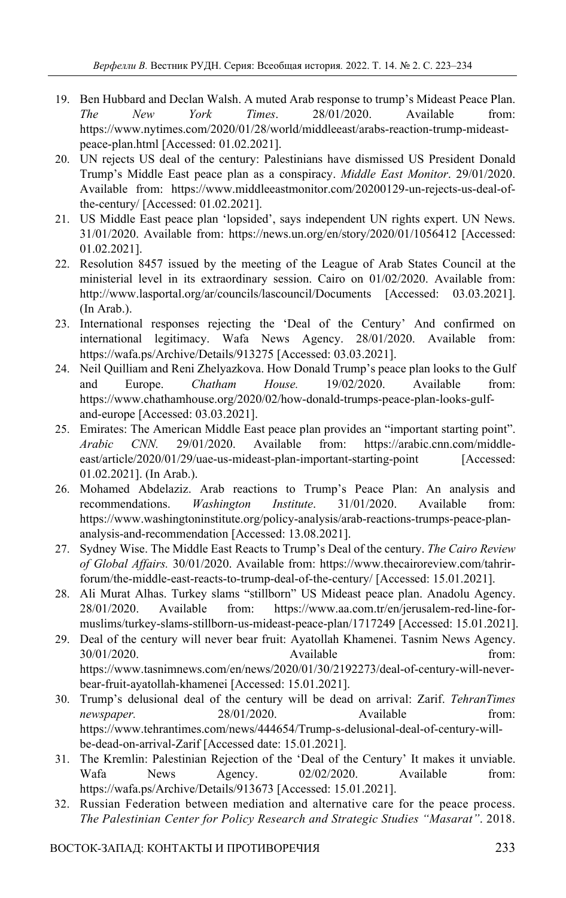- 19. Ben Hubbard and Declan Walsh. A muted Arab response to trump's Mideast Peace Plan. *The New York Times*. 28/01/2020. Available from: https://www.nytimes.com/2020/01/28/world/middleeast/arabs-reaction-trump-mideastpeace-plan.html [Accessed: 01.02.2021].
- 20. UN rejects US deal of the century: Palestinians have dismissed US President Donald Trump's Middle East peace plan as a conspiracy. *Middle East Monitor*. 29/01/2020. Available from: https://www.middleeastmonitor.com/20200129-un-rejects-us-deal-ofthe-century/ [Accessed: 01.02.2021].
- 21. US Middle East peace plan 'lopsided', says independent UN rights expert. UN News. 31/01/2020. Available from: https://news.un.org/en/story/2020/01/1056412 [Accessed: 01.02.2021].
- 22. Resolution 8457 issued by the meeting of the League of Arab States Council at the ministerial level in its extraordinary session. Cairo on 01/02/2020. Available from: http://www.lasportal.org/ar/councils/lascouncil/Documents [Accessed: 03.03.2021]. (In Arab.).
- 23. International responses rejecting the 'Deal of the Century' And confirmed on international legitimacy. Wafa News Agency. 28/01/2020. Available from: https://wafa.ps/Archive/Details/913275 [Accessed: 03.03.2021].
- 24. Neil Quilliam and Reni Zhelyazkova. How Donald Trump's peace plan looks to the Gulf and Europe. *Chatham House.* 19/02/2020. Available from: https://www.chathamhouse.org/2020/02/how-donald-trumps-peace-plan-looks-gulfand-europe [Accessed: 03.03.2021].
- 25. Emirates: The American Middle East peace plan provides an "important starting point". *Arabic CNN.* 29/01/2020. Available from: https://arabic.cnn.com/middleeast/article/2020/01/29/uae-us-mideast-plan-important-starting-point [Accessed: 01.02.2021]. (In Arab.).
- 26. Mohamed Abdelaziz. Arab reactions to Trump's Peace Plan: An analysis and recommendations. *Washington Institute*. 31/01/2020. Available from: https://www.washingtoninstitute.org/policy-analysis/arab-reactions-trumps-peace-plananalysis-and-recommendation [Accessed: 13.08.2021].
- 27. Sydney Wise. The Middle East Reacts to Trump's Deal of the century. *The Cairo Review of Global Affairs.* 30/01/2020. Available from: https://www.thecairoreview.com/tahrirforum/the-middle-east-reacts-to-trump-deal-of-the-century/ [Accessed: 15.01.2021].
- 28. Ali Murat Alhas. Turkey slams "stillborn" US Mideast peace plan. Anadolu Agency. 28/01/2020. Available from: https://www.aa.com.tr/en/jerusalem-red-line-formuslims/turkey-slams-stillborn-us-mideast-peace-plan/1717249 [Accessed: 15.01.2021].
- 29. Deal of the century will never bear fruit: Ayatollah Khamenei. Tasnim News Agency. 30/01/2020. Available from: https://www.tasnimnews.com/en/news/2020/01/30/2192273/deal-of-century-will-neverbear-fruit-ayatollah-khamenei [Accessed: 15.01.2021].
- 30. Trump's delusional deal of the century will be dead on arrival: Zarif. *TehranTimes newspaper.* 28/01/2020. Available from: https://www.tehrantimes.com/news/444654/Trump-s-delusional-deal-of-century-willbe-dead-on-arrival-Zarif [Accessed date: 15.01.2021].
- 31. The Kremlin: Palestinian Rejection of the 'Deal of the Century' It makes it unviable. Wafa News Agency. 02/02/2020. Available from: https://wafa.ps/Archive/Details/913673 [Accessed: 15.01.2021].
- 32. Russian Federation between mediation and alternative care for the peace process. *The Palestinian Center for Policy Research and Strategic Studies "Masarat"*. 2018.